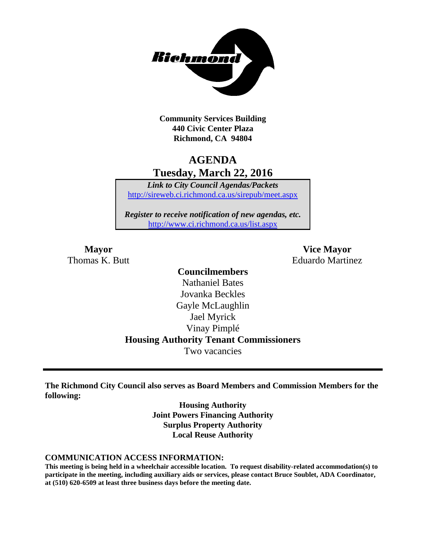

**Community Services Building 440 Civic Center Plaza Richmond, CA 94804**

## **AGENDA Tuesday, March 22, 2016**

*Link to City Council Agendas/Packets* <http://sireweb.ci.richmond.ca.us/sirepub/meet.aspx>

*Register to receive notification of new agendas, etc.* <http://www.ci.richmond.ca.us/list.aspx>

**Mayor Vice Mayor** Thomas K. Butt **Eduardo Martinez** 

### **Councilmembers** Nathaniel Bates Jovanka Beckles Gayle McLaughlin Jael Myrick Vinay Pimplé **Housing Authority Tenant Commissioners** Two vacancies

**The Richmond City Council also serves as Board Members and Commission Members for the following:**

> **Housing Authority Joint Powers Financing Authority Surplus Property Authority Local Reuse Authority**

#### **COMMUNICATION ACCESS INFORMATION:**

**This meeting is being held in a wheelchair accessible location. To request disability-related accommodation(s) to participate in the meeting, including auxiliary aids or services, please contact Bruce Soublet, ADA Coordinator, at (510) 620-6509 at least three business days before the meeting date.**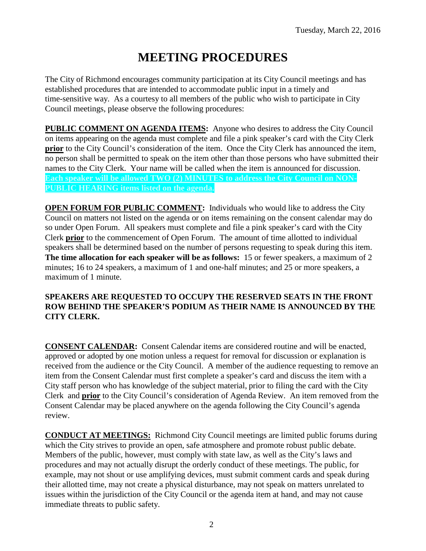# **MEETING PROCEDURES**

The City of Richmond encourages community participation at its City Council meetings and has established procedures that are intended to accommodate public input in a timely and time-sensitive way. As a courtesy to all members of the public who wish to participate in City Council meetings, please observe the following procedures:

**PUBLIC COMMENT ON AGENDA ITEMS:** Anyone who desires to address the City Council on items appearing on the agenda must complete and file a pink speaker's card with the City Clerk **prior** to the City Council's consideration of the item. Once the City Clerk has announced the item, no person shall be permitted to speak on the item other than those persons who have submitted their names to the City Clerk. Your name will be called when the item is announced for discussion. **Each speaker will be allowed TWO (2) MINUTES to address the City Council on NON-PUBLIC HEARING items listed on the agenda.**

**OPEN FORUM FOR PUBLIC COMMENT:** Individuals who would like to address the City Council on matters not listed on the agenda or on items remaining on the consent calendar may do so under Open Forum. All speakers must complete and file a pink speaker's card with the City Clerk **prior** to the commencement of Open Forum. The amount of time allotted to individual speakers shall be determined based on the number of persons requesting to speak during this item. **The time allocation for each speaker will be as follows:** 15 or fewer speakers, a maximum of 2 minutes; 16 to 24 speakers, a maximum of 1 and one-half minutes; and 25 or more speakers, a maximum of 1 minute.

#### **SPEAKERS ARE REQUESTED TO OCCUPY THE RESERVED SEATS IN THE FRONT ROW BEHIND THE SPEAKER'S PODIUM AS THEIR NAME IS ANNOUNCED BY THE CITY CLERK.**

**CONSENT CALENDAR:** Consent Calendar items are considered routine and will be enacted, approved or adopted by one motion unless a request for removal for discussion or explanation is received from the audience or the City Council. A member of the audience requesting to remove an item from the Consent Calendar must first complete a speaker's card and discuss the item with a City staff person who has knowledge of the subject material, prior to filing the card with the City Clerk and **prior** to the City Council's consideration of Agenda Review. An item removed from the Consent Calendar may be placed anywhere on the agenda following the City Council's agenda review.

**CONDUCT AT MEETINGS:** Richmond City Council meetings are limited public forums during which the City strives to provide an open, safe atmosphere and promote robust public debate. Members of the public, however, must comply with state law, as well as the City's laws and procedures and may not actually disrupt the orderly conduct of these meetings. The public, for example, may not shout or use amplifying devices, must submit comment cards and speak during their allotted time, may not create a physical disturbance, may not speak on matters unrelated to issues within the jurisdiction of the City Council or the agenda item at hand, and may not cause immediate threats to public safety.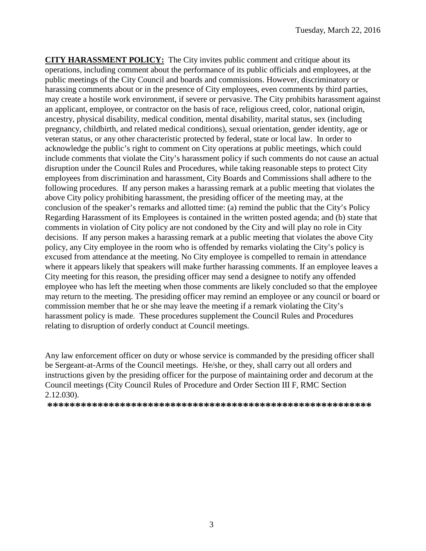**CITY HARASSMENT POLICY:** The City invites public comment and critique about its operations, including comment about the performance of its public officials and employees, at the public meetings of the City Council and boards and commissions. However, discriminatory or harassing comments about or in the presence of City employees, even comments by third parties, may create a hostile work environment, if severe or pervasive. The City prohibits harassment against an applicant, employee, or contractor on the basis of race, religious creed, color, national origin, ancestry, physical disability, medical condition, mental disability, marital status, sex (including pregnancy, childbirth, and related medical conditions), sexual orientation, gender identity, age or veteran status, or any other characteristic protected by federal, state or local law. In order to acknowledge the public's right to comment on City operations at public meetings, which could include comments that violate the City's harassment policy if such comments do not cause an actual disruption under the Council Rules and Procedures, while taking reasonable steps to protect City employees from discrimination and harassment, City Boards and Commissions shall adhere to the following procedures. If any person makes a harassing remark at a public meeting that violates the above City policy prohibiting harassment, the presiding officer of the meeting may, at the conclusion of the speaker's remarks and allotted time: (a) remind the public that the City's Policy Regarding Harassment of its Employees is contained in the written posted agenda; and (b) state that comments in violation of City policy are not condoned by the City and will play no role in City decisions. If any person makes a harassing remark at a public meeting that violates the above City policy, any City employee in the room who is offended by remarks violating the City's policy is excused from attendance at the meeting. No City employee is compelled to remain in attendance where it appears likely that speakers will make further harassing comments. If an employee leaves a City meeting for this reason, the presiding officer may send a designee to notify any offended employee who has left the meeting when those comments are likely concluded so that the employee may return to the meeting. The presiding officer may remind an employee or any council or board or commission member that he or she may leave the meeting if a remark violating the City's harassment policy is made. These procedures supplement the Council Rules and Procedures relating to disruption of orderly conduct at Council meetings.

Any law enforcement officer on duty or whose service is commanded by the presiding officer shall be Sergeant-at-Arms of the Council meetings. He/she, or they, shall carry out all orders and instructions given by the presiding officer for the purpose of maintaining order and decorum at the Council meetings (City Council Rules of Procedure and Order Section III F, RMC Section 2.12.030).

**\*\*\*\*\*\*\*\*\*\*\*\*\*\*\*\*\*\*\*\*\*\*\*\*\*\*\*\*\*\*\*\*\*\*\*\*\*\*\*\*\*\*\*\*\*\*\*\*\*\*\*\*\*\*\*\*\*\***